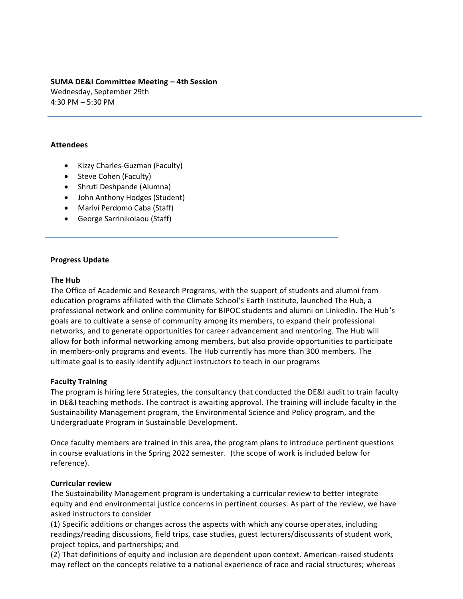# **SUMA DE&I Committee Meeting – 4th Session**

Wednesday, September 29th 4:30 PM – 5:30 PM

## **Attendees**

- Kizzy Charles-Guzman (Faculty)
- Steve Cohen (Faculty)
- Shruti Deshpande (Alumna)
- John Anthony Hodges (Student)
- Mariví Perdomo Caba (Staff)
- George Sarrinikolaou (Staff)

## **Progress Update**

## **The Hub**

The Office of Academic and Research Programs, with the support of students and alumni from education programs affiliated with the Climate School's Earth Institute, launched The Hub, a professional network and online community for BIPOC students and alumni on LinkedIn. The Hub's goals are to cultivate a sense of community among its members, to expand their professional networks, and to generate opportunities for career advancement and mentoring. The Hub will allow for both informal networking among members, but also provide opportunities to participate in members-only programs and events. The Hub currently has more than 300 members. The ultimate goal is to easily identify adjunct instructors to teach in our programs

## **Faculty Training**

The program is hiring Iere Strategies, the consultancy that conducted the DE&I audit to train faculty in DE&I teaching methods. The contract is awaiting approval. The training will include faculty in the Sustainability Management program, the Environmental Science and Policy program, and the Undergraduate Program in Sustainable Development.

Once faculty members are trained in this area, the program plans to introduce pertinent questions in course evaluations in the Spring 2022 semester. (the scope of work is included below for reference).

## **Curricular review**

The Sustainability Management program is undertaking a curricular review to better integrate equity and end environmental justice concerns in pertinent courses. As part of the review, we have asked instructors to consider

(1) Specific additions or changes across the aspects with which any course operates, including readings/reading discussions, field trips, case studies, guest lecturers/discussants of student work, project topics, and partnerships; and

(2) That definitions of equity and inclusion are dependent upon context. American-raised students may reflect on the concepts relative to a national experience of race and racial structures; whereas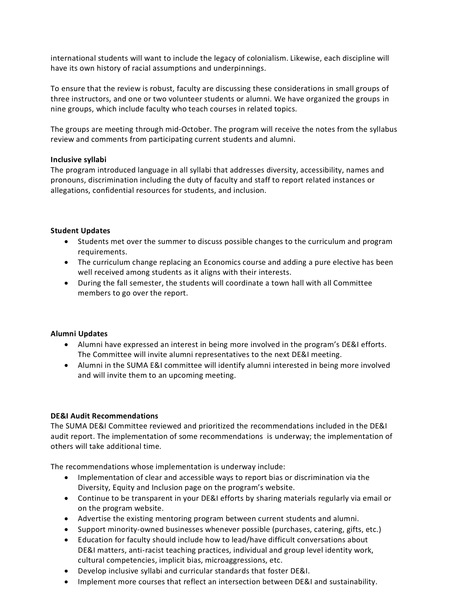international students will want to include the legacy of colonialism. Likewise, each discipline will have its own history of racial assumptions and underpinnings.

To ensure that the review is robust, faculty are discussing these considerations in small groups of three instructors, and one or two volunteer students or alumni. We have organized the groups in nine groups, which include faculty who teach courses in related topics.

The groups are meeting through mid-October. The program will receive the notes from the syllabus review and comments from participating current students and alumni.

## **Inclusive syllabi**

The program introduced language in all syllabi that addresses diversity, accessibility, names and pronouns, discrimination including the duty of faculty and staff to report related instances or allegations, confidential resources for students, and inclusion.

## **Student Updates**

- Students met over the summer to discuss possible changes to the curriculum and program requirements.
- The curriculum change replacing an Economics course and adding a pure elective has been well received among students as it aligns with their interests.
- During the fall semester, the students will coordinate a town hall with all Committee members to go over the report.

## **Alumni Updates**

- Alumni have expressed an interest in being more involved in the program's DE&I efforts. The Committee will invite alumni representatives to the next DE&I meeting.
- Alumni in the SUMA E&I committee will identify alumni interested in being more involved and will invite them to an upcoming meeting.

### **DE&I Audit Recommendations**

The SUMA DE&I Committee reviewed and prioritized the recommendations included in the DE&I audit report. The implementation of some recommendations is underway; the implementation of others will take additional time.

The recommendations whose implementation is underway include:

- Implementation of clear and accessible ways to report bias or discrimination via the Diversity, Equity and Inclusion page on the program's website.
- Continue to be transparent in your DE&I efforts by sharing materials regularly via email or on the program website.
- Advertise the existing mentoring program between current students and alumni.
- Support minority-owned businesses whenever possible (purchases, catering, gifts, etc.)
- Education for faculty should include how to lead/have difficult conversations about DE&I matters, anti-racist teaching practices, individual and group level identity work, cultural competencies, implicit bias, microaggressions, etc.
- Develop inclusive syllabi and curricular standards that foster DE&I.
- Implement more courses that reflect an intersection between DE&I and sustainability.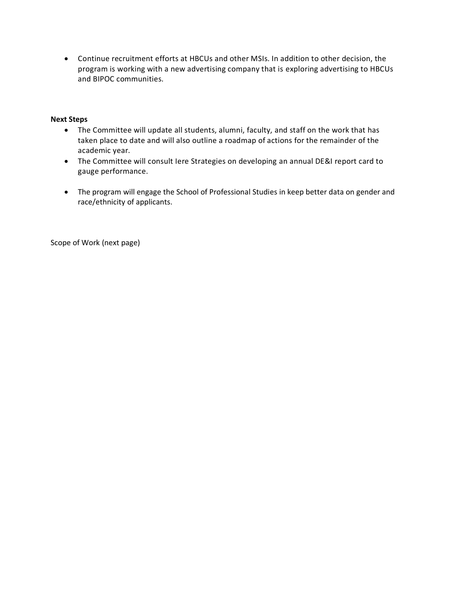• Continue recruitment efforts at HBCUs and other MSIs. In addition to other decision, the program is working with a new advertising company that is exploring advertising to HBCUs and BIPOC communities.

### **Next Steps**

- The Committee will update all students, alumni, faculty, and staff on the work that has taken place to date and will also outline a roadmap of actions for the remainder of the academic year.
- The Committee will consult Iere Strategies on developing an annual DE&I report card to gauge performance.
- The program will engage the School of Professional Studies in keep better data on gender and race/ethnicity of applicants.

Scope of Work (next page)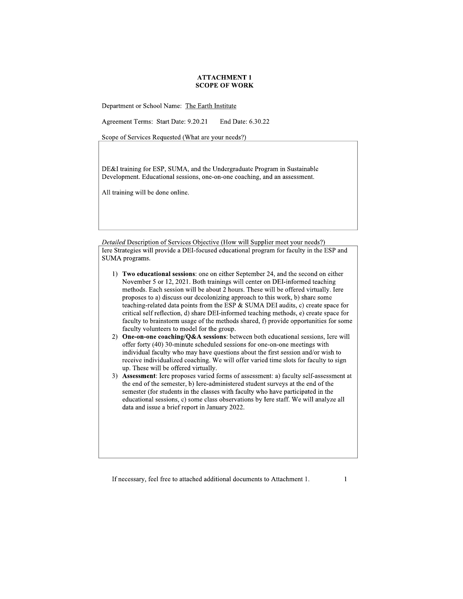Department or School Name: The Earth Institute

Agreement Terms: Start Date: 9.20.21 End Date: 6.30.22

Scope of Services Requested (What are your needs?)

DE&I training for ESP, SUMA, and the Undergraduate Program in Sustainable Development. Educational sessions, one-on-one coaching, and an assessment.

All training will be done online.

Detailed Description of Services Objective (How will Supplier meet your needs?) Iere Strategies will provide a DEI-focused educational program for faculty in the ESP and SUMA programs.

- 1) Two educational sessions: one on either September 24, and the second on either November 5 or 12, 2021. Both trainings will center on DEI-informed teaching methods. Each session will be about 2 hours. These will be offered virtually. Iere proposes to a) discuss our decolonizing approach to this work, b) share some teaching-related data points from the ESP & SUMA DEI audits, c) create space for critical self reflection, d) share DEI-informed teaching methods, e) create space for faculty to brainstorm usage of the methods shared, f) provide opportunities for some faculty volunteers to model for the group.
- 2) One-on-one coaching/Q&A sessions: between both educational sessions, Iere will offer forty (40) 30-minute scheduled sessions for one-on-one meetings with individual faculty who may have questions about the first session and/or wish to receive individualized coaching. We will offer varied time slots for faculty to sign up. These will be offered virtually.
- 3) Assessment: Iere proposes varied forms of assessment: a) faculty self-assessment at the end of the semester, b) Iere-administered student surveys at the end of the semester (for students in the classes with faculty who have participated in the educational sessions, c) some class observations by Iere staff. We will analyze all data and issue a brief report in January 2022.

 $\mathbf{1}$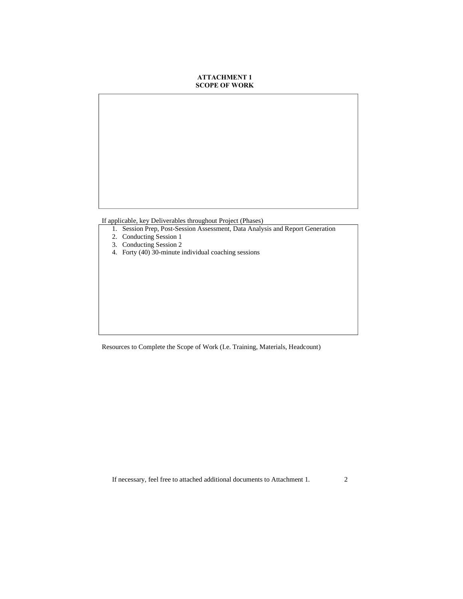If applicable, key Deliverables throughout Project (Phases)

- 1. Session Prep, Post-Session Assessment, Data Analysis and Report Generation
- 2. Conducting Session 1
- 3. Conducting Session 2
- 4. Forty (40) 30-minute individual coaching sessions

Resources to Complete the Scope of Work (I.e. Training, Materials, Headcount)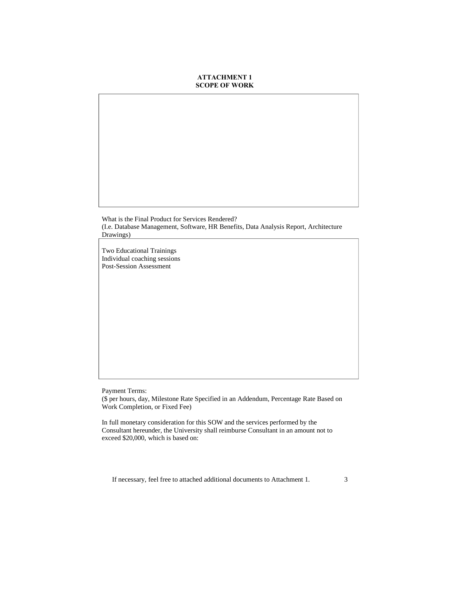What is the Final Product for Services Rendered? (I.e. Database Management, Software, HR Benefits, Data Analysis Report, Architecture Drawings)

Two Educational Trainings Individual coaching sessions Post-Session Assessment

Payment Terms:

(\$ per hours, day, Milestone Rate Specified in an Addendum, Percentage Rate Based on Work Completion, or Fixed Fee)

In full monetary consideration for this SOW and the services performed by the Consultant hereunder, the University shall reimburse Consultant in an amount not to exceed \$20,000, which is based on: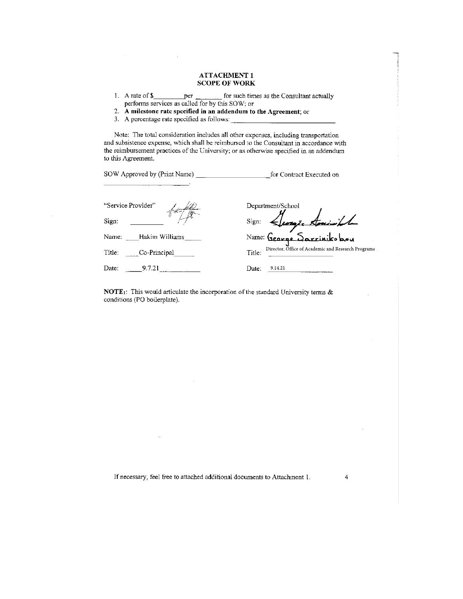- 1. A rate of  $$$ for such times as the Consultant actually per performs services as called for by this SOW; or
- 2. A milestone rate specified in an addendum to the Agreement; or
- 3. A percentage rate specified as follows:

 $\bar{z}$ 

Note: The total consideration includes all other expenses, including transportation and subsistence expense, which shall be reimbursed to the Consultant in accordance with the reimbursement practices of the University; or as otherwise specified in an addendum to this Agreement.

| "Service Provider"      | Department/School                                            |
|-------------------------|--------------------------------------------------------------|
| Sign:                   | Sign: Leorge American LL<br>Name: George Sarriniks bou       |
| Hakim Williams<br>Name: |                                                              |
| Title:<br>Co-Principal  | Director, Office of Academic and Research Programs<br>Title: |
| Date:<br>9.7.21         | Date:<br>9.14.21                                             |

**NOTE**<sub>1</sub>: This would articulate the incorporation of the standard University terms  $\&$ conditions (PO boilerplate).

If necessary, feel free to attached additional documents to Attachment 1.

 $\sim$ 

4

÷.